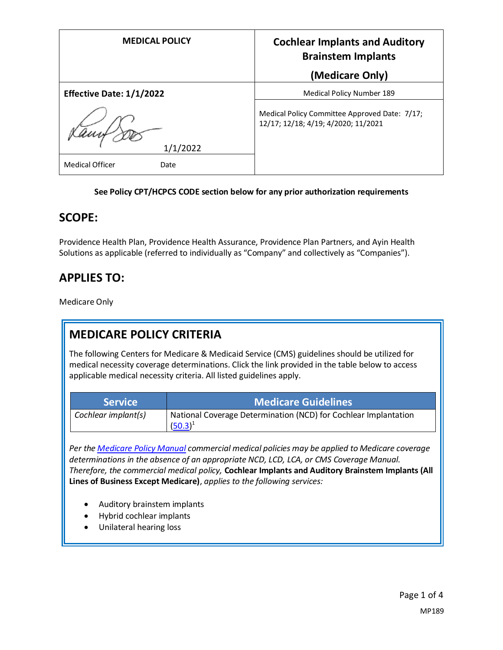| <b>MEDICAL POLICY</b>           | <b>Cochlear Implants and Auditory</b><br><b>Brainstem Implants</b>                   |
|---------------------------------|--------------------------------------------------------------------------------------|
|                                 | (Medicare Only)                                                                      |
| <b>Effective Date: 1/1/2022</b> | Medical Policy Number 189                                                            |
| 1/1/2022                        | Medical Policy Committee Approved Date: 7/17;<br>12/17; 12/18; 4/19; 4/2020; 11/2021 |
| <b>Medical Officer</b><br>Date  |                                                                                      |

#### **See Policy CPT/HCPCS CODE section below for any prior authorization requirements**

### **SCOPE:**

Providence Health Plan, Providence Health Assurance, Providence Plan Partners, and Ayin Health Solutions as applicable (referred to individually as "Company" and collectively as "Companies").

## **APPLIES TO:**

Medicare Only

# **MEDICARE POLICY CRITERIA**

The following Centers for Medicare & Medicaid Service (CMS) guidelines should be utilized for medical necessity coverage determinations. Click the link provided in the table below to access applicable medical necessity criteria. All listed guidelines apply.

| <b>Service !</b>    | <b>Medicare Guidelines</b>                                                    |
|---------------------|-------------------------------------------------------------------------------|
| Cochlear implant(s) | National Coverage Determination (NCD) for Cochlear Implantation<br>$(50.3)^1$ |

*Per th[e Medicare Policy Manual](https://s3-us-west-2.amazonaws.com/images.provhealth.org/Providence-Images/PHP_PHA_Medical_Policy_CMS_Manual.pdf) commercial medical policies may be applied to Medicare coverage determinations in the absence of an appropriate NCD, LCD, LCA, or CMS Coverage Manual. Therefore, the commercial medical policy,* **Cochlear Implants and Auditory Brainstem Implants (All Lines of Business Except Medicare)**, *applies to the following services:*

- Auditory brainstem implants
- Hybrid cochlear implants
- Unilateral hearing loss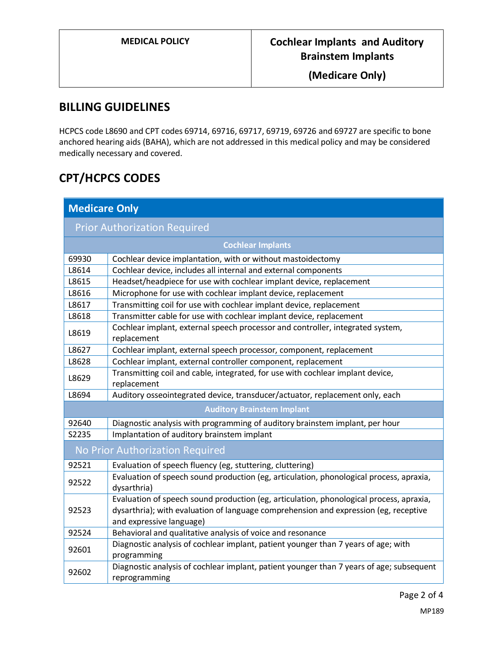**(Medicare Only)**

## **BILLING GUIDELINES**

HCPCS code L8690 and CPT codes 69714, 69716, 69717, 69719, 69726 and 69727 are specific to bone anchored hearing aids (BAHA), which are not addressed in this medical policy and may be considered medically necessary and covered.

# **CPT/HCPCS CODES**

| <b>Medicare Only</b>                |                                                                                                                                                                                                             |
|-------------------------------------|-------------------------------------------------------------------------------------------------------------------------------------------------------------------------------------------------------------|
| <b>Prior Authorization Required</b> |                                                                                                                                                                                                             |
| <b>Cochlear Implants</b>            |                                                                                                                                                                                                             |
| 69930                               | Cochlear device implantation, with or without mastoidectomy                                                                                                                                                 |
| L8614                               | Cochlear device, includes all internal and external components                                                                                                                                              |
| L8615                               | Headset/headpiece for use with cochlear implant device, replacement                                                                                                                                         |
| L8616                               | Microphone for use with cochlear implant device, replacement                                                                                                                                                |
| L8617                               | Transmitting coil for use with cochlear implant device, replacement                                                                                                                                         |
| L8618                               | Transmitter cable for use with cochlear implant device, replacement                                                                                                                                         |
| L8619                               | Cochlear implant, external speech processor and controller, integrated system,<br>replacement                                                                                                               |
| L8627                               | Cochlear implant, external speech processor, component, replacement                                                                                                                                         |
| L8628                               | Cochlear implant, external controller component, replacement                                                                                                                                                |
| L8629                               | Transmitting coil and cable, integrated, for use with cochlear implant device,<br>replacement                                                                                                               |
| L8694                               | Auditory osseointegrated device, transducer/actuator, replacement only, each                                                                                                                                |
| <b>Auditory Brainstem Implant</b>   |                                                                                                                                                                                                             |
| 92640                               | Diagnostic analysis with programming of auditory brainstem implant, per hour                                                                                                                                |
| S2235                               | Implantation of auditory brainstem implant                                                                                                                                                                  |
| No Prior Authorization Required     |                                                                                                                                                                                                             |
| 92521                               | Evaluation of speech fluency (eg, stuttering, cluttering)                                                                                                                                                   |
| 92522                               | Evaluation of speech sound production (eg, articulation, phonological process, apraxia,<br>dysarthria)                                                                                                      |
| 92523                               | Evaluation of speech sound production (eg, articulation, phonological process, apraxia,<br>dysarthria); with evaluation of language comprehension and expression (eg, receptive<br>and expressive language) |
| 92524                               | Behavioral and qualitative analysis of voice and resonance                                                                                                                                                  |
| 92601                               | Diagnostic analysis of cochlear implant, patient younger than 7 years of age; with<br>programming                                                                                                           |
| 92602                               | Diagnostic analysis of cochlear implant, patient younger than 7 years of age; subsequent<br>reprogramming                                                                                                   |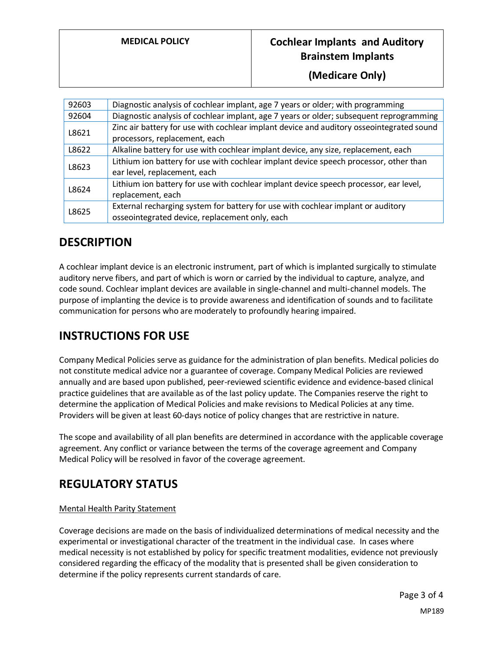### **MEDICAL POLICY Cochlear Implants and Auditory Brainstem Implants**

**(Medicare Only)**

| 92603 | Diagnostic analysis of cochlear implant, age 7 years or older; with programming          |
|-------|------------------------------------------------------------------------------------------|
| 92604 | Diagnostic analysis of cochlear implant, age 7 years or older; subsequent reprogramming  |
| L8621 | Zinc air battery for use with cochlear implant device and auditory osseointegrated sound |
|       | processors, replacement, each                                                            |
| L8622 | Alkaline battery for use with cochlear implant device, any size, replacement, each       |
| L8623 | Lithium ion battery for use with cochlear implant device speech processor, other than    |
|       | ear level, replacement, each                                                             |
| L8624 | Lithium ion battery for use with cochlear implant device speech processor, ear level,    |
|       | replacement, each                                                                        |
| L8625 | External recharging system for battery for use with cochlear implant or auditory         |
|       | osseointegrated device, replacement only, each                                           |

## **DESCRIPTION**

A cochlear implant device is an electronic instrument, part of which is implanted surgically to stimulate auditory nerve fibers, and part of which is worn or carried by the individual to capture, analyze, and code sound. Cochlear implant devices are available in single-channel and multi-channel models. The purpose of implanting the device is to provide awareness and identification of sounds and to facilitate communication for persons who are moderately to profoundly hearing impaired.

## **INSTRUCTIONS FOR USE**

Company Medical Policies serve as guidance for the administration of plan benefits. Medical policies do not constitute medical advice nor a guarantee of coverage. Company Medical Policies are reviewed annually and are based upon published, peer-reviewed scientific evidence and evidence-based clinical practice guidelines that are available as of the last policy update. The Companies reserve the right to determine the application of Medical Policies and make revisions to Medical Policies at any time. Providers will be given at least 60-days notice of policy changes that are restrictive in nature.

The scope and availability of all plan benefits are determined in accordance with the applicable coverage agreement. Any conflict or variance between the terms of the coverage agreement and Company Medical Policy will be resolved in favor of the coverage agreement.

# **REGULATORY STATUS**

#### Mental Health Parity Statement

Coverage decisions are made on the basis of individualized determinations of medical necessity and the experimental or investigational character of the treatment in the individual case. In cases where medical necessity is not established by policy for specific treatment modalities, evidence not previously considered regarding the efficacy of the modality that is presented shall be given consideration to determine if the policy represents current standards of care.